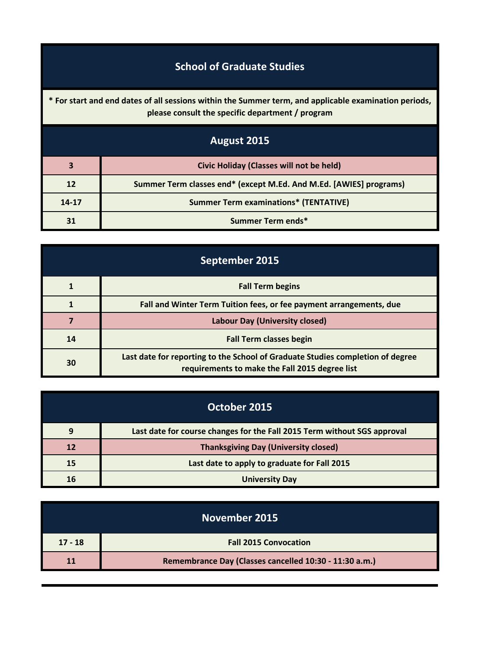## **School of Graduate Studies**

**\* For start and end dates of all sessions within the Summer term, and applicable examination periods, please consult the specific department / program**

| August 2015 |                                                                    |
|-------------|--------------------------------------------------------------------|
| 3           | <b>Civic Holiday (Classes will not be held)</b>                    |
| 12          | Summer Term classes end* (except M.Ed. And M.Ed. [AWIES] programs) |
| $14 - 17$   | <b>Summer Term examinations* (TENTATIVE)</b>                       |
| 31          | Summer Term ends*                                                  |

| September 2015 |                                                                                                                                  |
|----------------|----------------------------------------------------------------------------------------------------------------------------------|
|                | <b>Fall Term begins</b>                                                                                                          |
|                | Fall and Winter Term Tuition fees, or fee payment arrangements, due                                                              |
|                | <b>Labour Day (University closed)</b>                                                                                            |
| 14             | <b>Fall Term classes begin</b>                                                                                                   |
| 30             | Last date for reporting to the School of Graduate Studies completion of degree<br>requirements to make the Fall 2015 degree list |

| October 2015 |                                                                          |
|--------------|--------------------------------------------------------------------------|
| 9            | Last date for course changes for the Fall 2015 Term without SGS approval |
| 12           | <b>Thanksgiving Day (University closed)</b>                              |
| 15           | Last date to apply to graduate for Fall 2015                             |
| 16           | <b>University Day</b>                                                    |

| November 2015 |                                                        |
|---------------|--------------------------------------------------------|
| $17 - 18$     | <b>Fall 2015 Convocation</b>                           |
|               | Remembrance Day (Classes cancelled 10:30 - 11:30 a.m.) |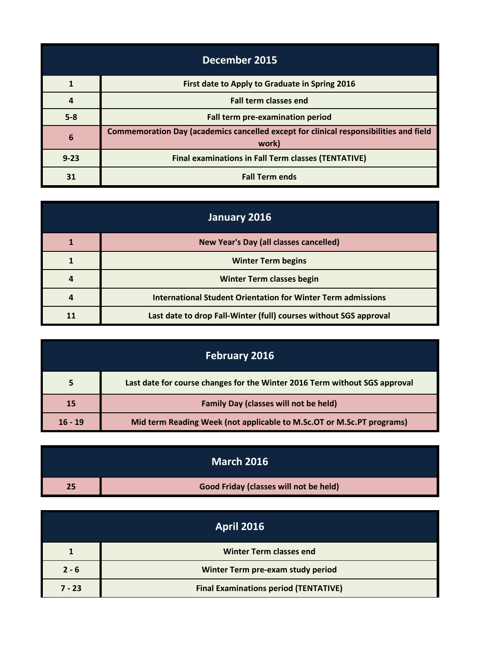| December 2015 |                                                                                                |
|---------------|------------------------------------------------------------------------------------------------|
|               | First date to Apply to Graduate in Spring 2016                                                 |
|               | <b>Fall term classes end</b>                                                                   |
| $5-8$         | Fall term pre-examination period                                                               |
| 6             | Commemoration Day (academics cancelled except for clinical responsibilities and field<br>work) |
| $9 - 23$      | <b>Final examinations in Fall Term classes (TENTATIVE)</b>                                     |
| 31            | <b>Fall Term ends</b>                                                                          |

| January 2016 |                                                                     |
|--------------|---------------------------------------------------------------------|
|              | <b>New Year's Day (all classes cancelled)</b>                       |
|              | <b>Winter Term begins</b>                                           |
|              | <b>Winter Term classes begin</b>                                    |
|              | <b>International Student Orientation for Winter Term admissions</b> |
|              | Last date to drop Fall-Winter (full) courses without SGS approval   |

| <b>February 2016</b> |                                                                            |
|----------------------|----------------------------------------------------------------------------|
|                      | Last date for course changes for the Winter 2016 Term without SGS approval |
| 15                   | <b>Family Day (classes will not be held)</b>                               |
| $16 - 19$            | Mid term Reading Week (not applicable to M.Sc.OT or M.Sc.PT programs)      |

|    | <b>March 2016</b>                      |
|----|----------------------------------------|
| 25 | Good Friday (classes will not be held) |

| <b>April 2016</b> |                                              |
|-------------------|----------------------------------------------|
|                   | <b>Winter Term classes end</b>               |
| $2 - 6$           | Winter Term pre-exam study period            |
| $7 - 23$          | <b>Final Examinations period (TENTATIVE)</b> |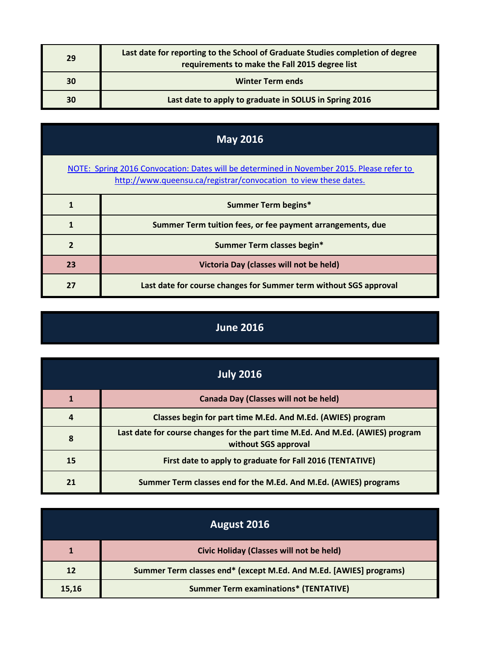| 29 | Last date for reporting to the School of Graduate Studies completion of degree<br>requirements to make the Fall 2015 degree list |
|----|----------------------------------------------------------------------------------------------------------------------------------|
| 30 | <b>Winter Term ends</b>                                                                                                          |
| 30 | Last date to apply to graduate in SOLUS in Spring 2016                                                                           |

| <b>May 2016</b>                                                                                                                                               |                                                                   |
|---------------------------------------------------------------------------------------------------------------------------------------------------------------|-------------------------------------------------------------------|
| NOTE: Spring 2016 Convocation: Dates will be determined in November 2015. Please refer to<br>http://www.queensu.ca/registrar/convocation to view these dates. |                                                                   |
|                                                                                                                                                               | <b>Summer Term begins*</b>                                        |
|                                                                                                                                                               | Summer Term tuition fees, or fee payment arrangements, due        |
| $\overline{\mathbf{z}}$                                                                                                                                       | Summer Term classes begin*                                        |
| 23                                                                                                                                                            | Victoria Day (classes will not be held)                           |
| 27                                                                                                                                                            | Last date for course changes for Summer term without SGS approval |

## **June 2016**

| <b>July 2016</b> |                                                                                                        |
|------------------|--------------------------------------------------------------------------------------------------------|
|                  | <b>Canada Day (Classes will not be held)</b>                                                           |
|                  | Classes begin for part time M.Ed. And M.Ed. (AWIES) program                                            |
| 8                | Last date for course changes for the part time M.Ed. And M.Ed. (AWIES) program<br>without SGS approval |
| 15               | First date to apply to graduate for Fall 2016 (TENTATIVE)                                              |
| 21               | Summer Term classes end for the M.Ed. And M.Ed. (AWIES) programs                                       |

| August 2016 |                                                                    |
|-------------|--------------------------------------------------------------------|
|             | Civic Holiday (Classes will not be held)                           |
| 12          | Summer Term classes end* (except M.Ed. And M.Ed. [AWIES] programs) |
| 15,16       | <b>Summer Term examinations* (TENTATIVE)</b>                       |